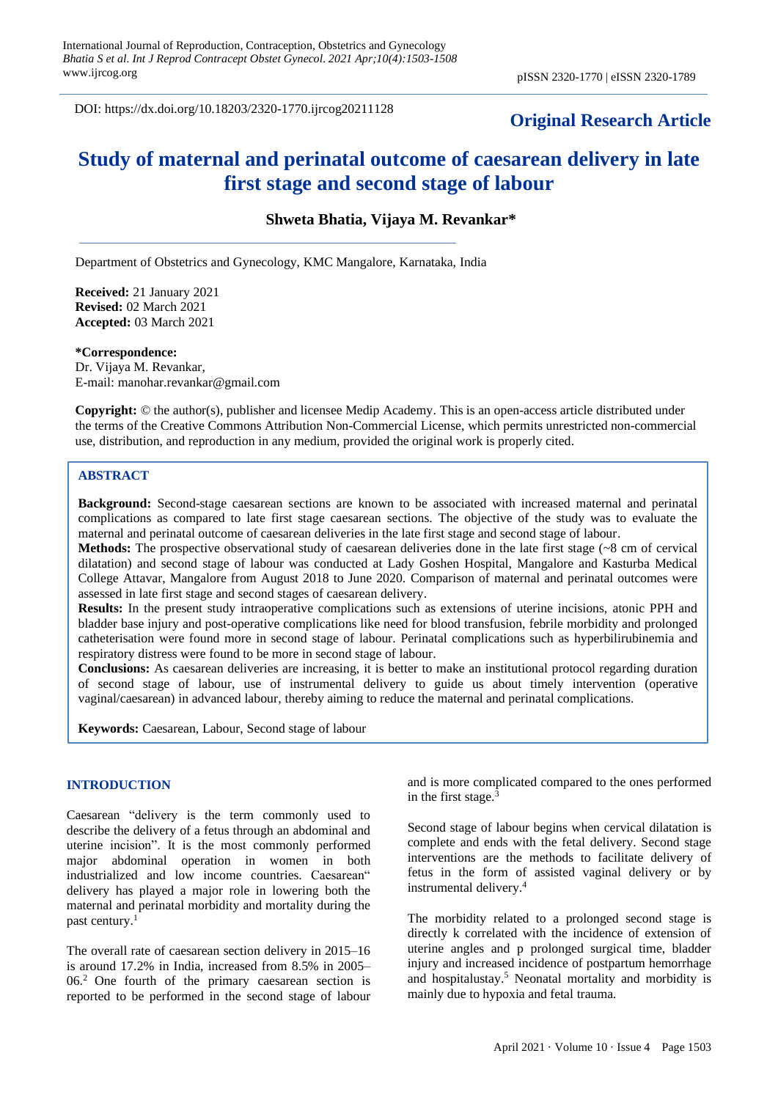DOI: https://dx.doi.org/10.18203/2320-1770.ijrcog20211128

## **Original Research Article**

# **Study of maternal and perinatal outcome of caesarean delivery in late first stage and second stage of labour**

**Shweta Bhatia, Vijaya M. Revankar\***

Department of Obstetrics and Gynecology, KMC Mangalore, Karnataka, India

**Received:** 21 January 2021 **Revised:** 02 March 2021 **Accepted:** 03 March 2021

**\*Correspondence:**

Dr. Vijaya M. Revankar, E-mail: manohar.revankar@gmail.com

**Copyright:** © the author(s), publisher and licensee Medip Academy. This is an open-access article distributed under the terms of the Creative Commons Attribution Non-Commercial License, which permits unrestricted non-commercial use, distribution, and reproduction in any medium, provided the original work is properly cited.

#### **ABSTRACT**

**Background:** Second-stage caesarean sections are known to be associated with increased maternal and perinatal complications as compared to late first stage caesarean sections. The objective of the study was to evaluate the maternal and perinatal outcome of caesarean deliveries in the late first stage and second stage of labour.

**Methods:** The prospective observational study of caesarean deliveries done in the late first stage (~8 cm of cervical dilatation) and second stage of labour was conducted at Lady Goshen Hospital, Mangalore and Kasturba Medical College Attavar, Mangalore from August 2018 to June 2020. Comparison of maternal and perinatal outcomes were assessed in late first stage and second stages of caesarean delivery.

**Results:** In the present study intraoperative complications such as extensions of uterine incisions, atonic PPH and bladder base injury and post-operative complications like need for blood transfusion, febrile morbidity and prolonged catheterisation were found more in second stage of labour. Perinatal complications such as hyperbilirubinemia and respiratory distress were found to be more in second stage of labour.

**Conclusions:** As caesarean deliveries are increasing, it is better to make an institutional protocol regarding duration of second stage of labour, use of instrumental delivery to guide us about timely intervention (operative vaginal/caesarean) in advanced labour, thereby aiming to reduce the maternal and perinatal complications.

**Keywords:** Caesarean, Labour, Second stage of labour

## **INTRODUCTION**

Caesarean "delivery is the term commonly used to describe the delivery of a fetus through an abdominal and uterine incision". It is the most commonly performed major abdominal operation in women in both industrialized and low income countries. Caesarean" delivery has played a major role in lowering both the maternal and perinatal morbidity and mortality during the past century.<sup>1</sup>

The overall rate of caesarean section delivery in 2015–16 is around 17.2% in India, increased from 8.5% in 2005– 06.<sup>2</sup> One fourth of the primary caesarean section is reported to be performed in the second stage of labour and is more complicated compared to the ones performed in the first stage. $3$ 

Second stage of labour begins when cervical dilatation is complete and ends with the fetal delivery. Second stage interventions are the methods to facilitate delivery of fetus in the form of assisted vaginal delivery or by instrumental delivery.<sup>4</sup>

The morbidity related to a prolonged second stage is directly k correlated with the incidence of extension of uterine angles and p prolonged surgical time, bladder injury and increased incidence of postpartum hemorrhage and hospitalustay.<sup>5</sup> Neonatal mortality and morbidity is mainly due to hypoxia and fetal trauma.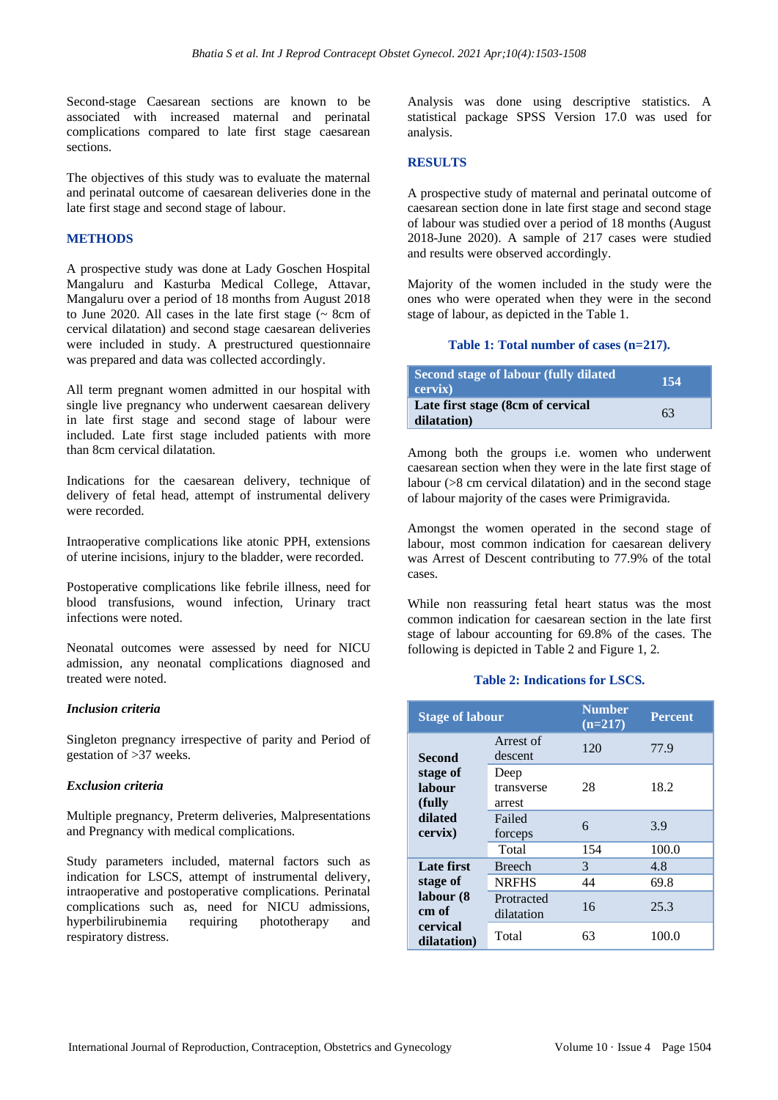Second-stage Caesarean sections are known to be associated with increased maternal and perinatal complications compared to late first stage caesarean sections.

The objectives of this study was to evaluate the maternal and perinatal outcome of caesarean deliveries done in the late first stage and second stage of labour.

## **METHODS**

A prospective study was done at Lady Goschen Hospital Mangaluru and Kasturba Medical College, Attavar, Mangaluru over a period of 18 months from August 2018 to June 2020. All cases in the late first stage  $($   $\sim$  8cm of cervical dilatation) and second stage caesarean deliveries were included in study. A prestructured questionnaire was prepared and data was collected accordingly.

All term pregnant women admitted in our hospital with single live pregnancy who underwent caesarean delivery in late first stage and second stage of labour were included. Late first stage included patients with more than 8cm cervical dilatation.

Indications for the caesarean delivery, technique of delivery of fetal head, attempt of instrumental delivery were recorded.

Intraoperative complications like atonic PPH, extensions of uterine incisions, injury to the bladder, were recorded.

Postoperative complications like febrile illness, need for blood transfusions, wound infection, Urinary tract infections were noted.

Neonatal outcomes were assessed by need for NICU admission, any neonatal complications diagnosed and treated were noted.

## *Inclusion criteria*

Singleton pregnancy irrespective of parity and Period of gestation of >37 weeks.

#### *Exclusion criteria*

Multiple pregnancy, Preterm deliveries, Malpresentations and Pregnancy with medical complications.

Study parameters included, maternal factors such as indication for LSCS, attempt of instrumental delivery, intraoperative and postoperative complications. Perinatal complications such as, need for NICU admissions, hyperbilirubinemia requiring phototherapy and respiratory distress.

Analysis was done using descriptive statistics. A statistical package SPSS Version 17.0 was used for analysis.

#### **RESULTS**

A prospective study of maternal and perinatal outcome of caesarean section done in late first stage and second stage of labour was studied over a period of 18 months (August 2018-June 2020). A sample of 217 cases were studied and results were observed accordingly.

Majority of the women included in the study were the ones who were operated when they were in the second stage of labour, as depicted in the Table 1.

#### **Table 1: Total number of cases (n=217).**

| Second stage of labour (fully dilated<br>cervix) | -154 |
|--------------------------------------------------|------|
| Late first stage (8cm of cervical<br>dilatation) | 63   |

Among both the groups i.e. women who underwent caesarean section when they were in the late first stage of labour (>8 cm cervical dilatation) and in the second stage of labour majority of the cases were Primigravida.

Amongst the women operated in the second stage of labour, most common indication for caesarean delivery was Arrest of Descent contributing to 77.9% of the total cases.

While non reassuring fetal heart status was the most common indication for caesarean section in the late first stage of labour accounting for 69.8% of the cases. The following is depicted in Table 2 and Figure 1, 2.

#### **Table 2: Indications for LSCS.**

| <b>Stage of labour</b>          |                              | <b>Number</b><br>$(n=217)$ | <b>Percent</b> |
|---------------------------------|------------------------------|----------------------------|----------------|
| Second                          | Arrest of<br>descent         | 120                        | 77.9           |
| stage of<br>labour<br>(fully)   | Deep<br>transverse<br>arrest | 28                         | 18.2           |
| dilated<br>cervix)              | Failed<br>forceps            | 6                          | 3.9            |
|                                 | Total                        | 154                        | 100.0          |
| Late first                      | <b>Breech</b>                | 3                          | 4.8            |
| stage of<br>labour (8)<br>cm of | <b>NRFHS</b>                 | 44                         | 69.8           |
|                                 | Protracted<br>dilatation     | 16                         | 25.3           |
| cervical<br>dilatation)         | Total                        | 63                         | 100.0          |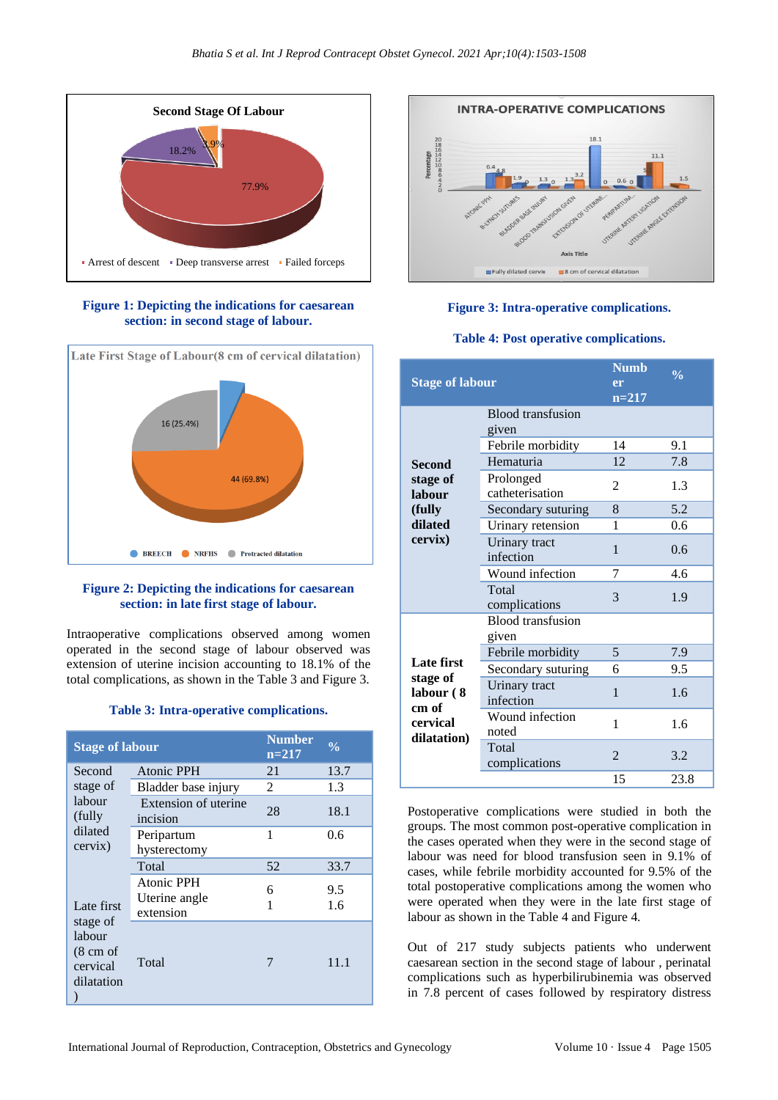

**Figure 1: Depicting the indications for caesarean section: in second stage of labour.**



## **Figure 2: Depicting the indications for caesarean section: in late first stage of labour.**

Intraoperative complications observed among women operated in the second stage of labour observed was extension of uterine incision accounting to 18.1% of the total complications, as shown in the Table 3 and Figure 3.

#### **Table 3: Intra-operative complications.**

| <b>Stage of labour</b>                                                                                                                   |                                          | <b>Number</b><br>$n=217$ | $\frac{0}{0}$ |
|------------------------------------------------------------------------------------------------------------------------------------------|------------------------------------------|--------------------------|---------------|
| Second                                                                                                                                   | Atonic PPH                               | 21                       | 13.7          |
| stage of<br>labour<br>(fully)<br>dilated<br>cervix)<br>Late first<br>stage of<br>labour<br>$(8 \text{ cm of})$<br>cervical<br>dilatation | Bladder base injury                      | 2                        | 1.3           |
|                                                                                                                                          | Extension of uterine<br>incision         | 28                       | 18.1          |
|                                                                                                                                          | Peripartum<br>hysterectomy               | 1                        | 0.6           |
|                                                                                                                                          | Total                                    | 52                       | 33.7          |
|                                                                                                                                          | Atonic PPH<br>Uterine angle<br>extension | 6<br>1                   | 9.5<br>1.6    |
|                                                                                                                                          | Total                                    | 7                        | 11.1          |



## **Figure 3: Intra-operative complications.**

#### **Table 4: Post operative complications.**

| <b>Stage of labour</b>                                    |                                   | <b>Numb</b><br>er<br>$n = 217$ | $\frac{0}{0}$ |
|-----------------------------------------------------------|-----------------------------------|--------------------------------|---------------|
|                                                           | Blood transfusion<br>given        |                                |               |
|                                                           | Febrile morbidity                 | 14                             | 9.1           |
| Second                                                    | Hematuria                         | 12                             | 7.8           |
| stage of<br>labour                                        | Prolonged<br>catheterisation      | 2                              | 1.3           |
| (fully)                                                   | Secondary suturing                | 8                              | 5.2           |
| dilated                                                   | Urinary retension                 | 1                              | 0.6           |
| cervix)                                                   | Urinary tract<br>infection        | 1                              | 0.6           |
|                                                           | Wound infection                   | 7                              | 4.6           |
|                                                           | Total<br>complications            | 3                              | 1.9           |
|                                                           | <b>Blood</b> transfusion<br>given |                                |               |
|                                                           | Febrile morbidity                 | 5                              | 7.9           |
| Late first                                                | Secondary suturing                | 6                              | 9.5           |
| stage of<br>labour (8<br>cm of<br>cervical<br>dilatation) | Urinary tract<br>infection        | 1                              | 1.6           |
|                                                           | Wound infection<br>noted          | 1                              | 1.6           |
|                                                           | Total<br>complications            | $\overline{2}$                 | 3.2           |
|                                                           |                                   | 15                             | 23.8          |

Postoperative complications were studied in both the groups. The most common post-operative complication in the cases operated when they were in the second stage of labour was need for blood transfusion seen in 9.1% of cases, while febrile morbidity accounted for 9.5% of the total postoperative complications among the women who were operated when they were in the late first stage of labour as shown in the Table 4 and Figure 4.

Out of 217 study subjects patients who underwent caesarean section in the second stage of labour , perinatal complications such as hyperbilirubinemia was observed in 7.8 percent of cases followed by respiratory distress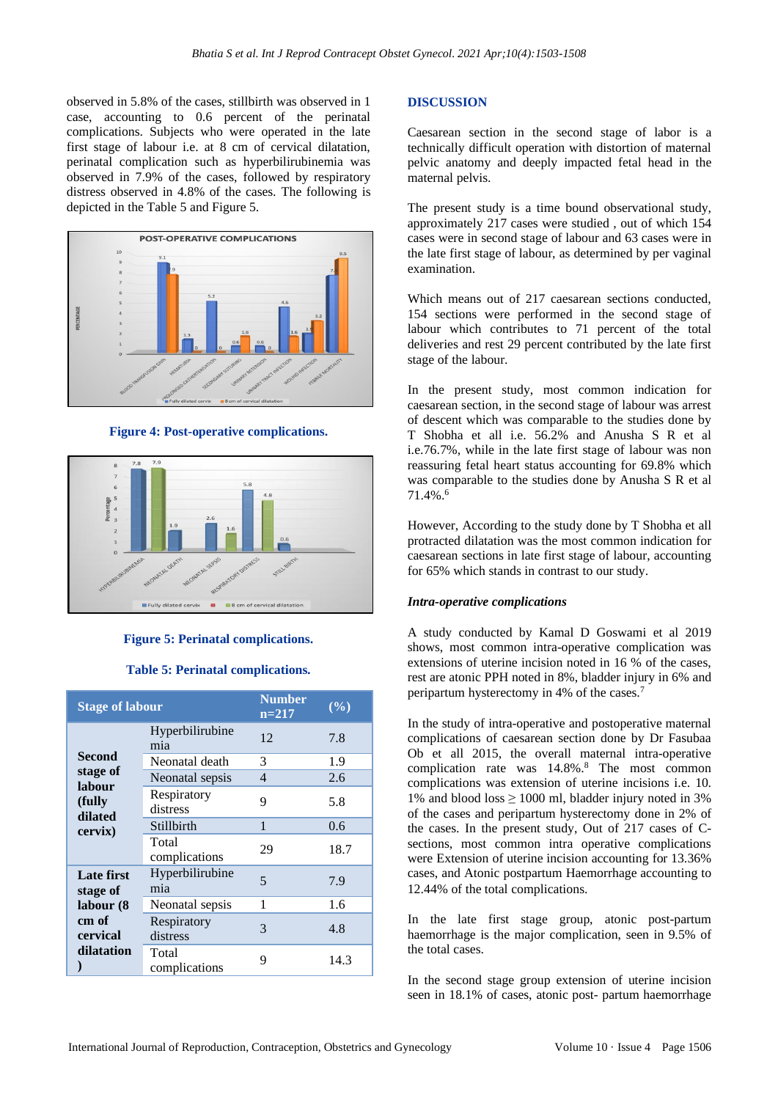observed in 5.8% of the cases, stillbirth was observed in 1 case, accounting to 0.6 percent of the perinatal complications. Subjects who were operated in the late first stage of labour i.e. at 8 cm of cervical dilatation, perinatal complication such as hyperbilirubinemia was observed in 7.9% of the cases, followed by respiratory distress observed in 4.8% of the cases. The following is depicted in the Table 5 and Figure 5.



**Figure 4: Post-operative complications.**



#### **Figure 5: Perinatal complications.**

#### **Table 5: Perinatal complications.**

| <b>Stage of labour</b>                                                  |                         | <b>Number</b><br>$n=217$ | $(\frac{6}{6})$ |
|-------------------------------------------------------------------------|-------------------------|--------------------------|-----------------|
| Second<br>stage of<br>labour<br>(fully<br>dilated<br>cervix)            | Hyperbilirubine<br>mia  | 12                       | 7.8             |
|                                                                         | Neonatal death          | 3                        | 1.9             |
|                                                                         | Neonatal sepsis         | $\overline{4}$           | 2.6             |
|                                                                         | Respiratory<br>distress | 9                        | 5.8             |
|                                                                         | Stillbirth              | 1                        | 0.6             |
|                                                                         | Total<br>complications  | 29                       | 18.7            |
| Late first<br>stage of<br>labour (8)<br>cm of<br>cervical<br>dilatation | Hyperbilirubine<br>mia  | 5                        | 7.9             |
|                                                                         | Neonatal sepsis         | 1                        | 1.6             |
|                                                                         | Respiratory<br>distress | 3                        | 4.8             |
|                                                                         | Total<br>complications  | 9                        | 14.3            |

#### **DISCUSSION**

Caesarean section in the second stage of labor is a technically difficult operation with distortion of maternal pelvic anatomy and deeply impacted fetal head in the maternal pelvis.

The present study is a time bound observational study, approximately 217 cases were studied , out of which 154 cases were in second stage of labour and 63 cases were in the late first stage of labour, as determined by per vaginal examination.

Which means out of 217 caesarean sections conducted, 154 sections were performed in the second stage of labour which contributes to 71 percent of the total deliveries and rest 29 percent contributed by the late first stage of the labour.

In the present study, most common indication for caesarean section, in the second stage of labour was arrest of descent which was comparable to the studies done by T Shobha et all i.e. 56.2% and Anusha S R et al i.e.76.7%, while in the late first stage of labour was non reassuring fetal heart status accounting for 69.8% which was comparable to the studies done by Anusha S R et al 71.4%.<sup>6</sup>

However, According to the study done by T Shobha et all protracted dilatation was the most common indication for caesarean sections in late first stage of labour, accounting for 65% which stands in contrast to our study.

#### *Intra-operative complications*

A study conducted by Kamal D Goswami et al 2019 shows, most common intra-operative complication was extensions of uterine incision noted in 16 % of the cases, rest are atonic PPH noted in 8%, bladder injury in 6% and peripartum hysterectomy in 4% of the cases.<sup>7</sup>

In the study of intra-operative and postoperative maternal complications of caesarean section done by Dr Fasubaa Ob et all 2015, the overall maternal intra-operative complication rate was 14.8%.<sup>8</sup> The most common complications was extension of uterine incisions i.e. 10. 1% and blood loss  $\geq 1000$  ml, bladder injury noted in 3% of the cases and peripartum hysterectomy done in 2% of the cases. In the present study, Out of 217 cases of Csections, most common intra operative complications were Extension of uterine incision accounting for 13.36% cases, and Atonic postpartum Haemorrhage accounting to 12.44% of the total complications.

In the late first stage group, atonic post-partum haemorrhage is the major complication, seen in 9.5% of the total cases.

In the second stage group extension of uterine incision seen in 18.1% of cases, atonic post- partum haemorrhage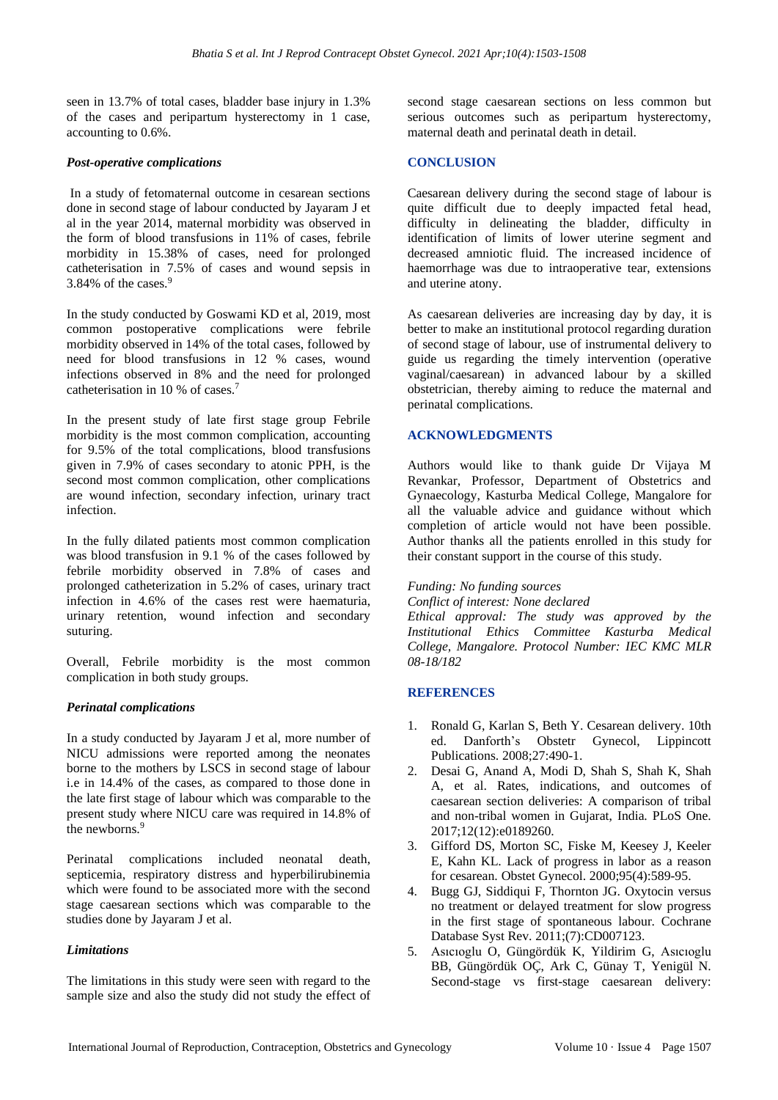seen in 13.7% of total cases, bladder base injury in 1.3% of the cases and peripartum hysterectomy in 1 case, accounting to 0.6%.

## *Post-operative complications*

In a study of fetomaternal outcome in cesarean sections done in second stage of labour conducted by Jayaram J et al in the year 2014, maternal morbidity was observed in the form of blood transfusions in 11% of cases, febrile morbidity in 15.38% of cases, need for prolonged catheterisation in 7.5% of cases and wound sepsis in 3.84% of the cases.<sup>9</sup>

In the study conducted by Goswami KD et al, 2019, most common postoperative complications were febrile morbidity observed in 14% of the total cases, followed by need for blood transfusions in 12 % cases, wound infections observed in 8% and the need for prolonged catheterisation in 10 % of cases. 7

In the present study of late first stage group Febrile morbidity is the most common complication, accounting for 9.5% of the total complications, blood transfusions given in 7.9% of cases secondary to atonic PPH, is the second most common complication, other complications are wound infection, secondary infection, urinary tract infection.

In the fully dilated patients most common complication was blood transfusion in 9.1 % of the cases followed by febrile morbidity observed in 7.8% of cases and prolonged catheterization in 5.2% of cases, urinary tract infection in 4.6% of the cases rest were haematuria, urinary retention, wound infection and secondary suturing.

Overall, Febrile morbidity is the most common complication in both study groups.

## *Perinatal complications*

In a study conducted by Jayaram J et al, more number of NICU admissions were reported among the neonates borne to the mothers by LSCS in second stage of labour i.e in 14.4% of the cases, as compared to those done in the late first stage of labour which was comparable to the present study where NICU care was required in 14.8% of the newborns.<sup>9</sup>

Perinatal complications included neonatal death, septicemia, respiratory distress and hyperbilirubinemia which were found to be associated more with the second stage caesarean sections which was comparable to the studies done by Jayaram J et al.

## *Limitations*

The limitations in this study were seen with regard to the sample size and also the study did not study the effect of second stage caesarean sections on less common but serious outcomes such as peripartum hysterectomy, maternal death and perinatal death in detail.

## **CONCLUSION**

Caesarean delivery during the second stage of labour is quite difficult due to deeply impacted fetal head, difficulty in delineating the bladder, difficulty in identification of limits of lower uterine segment and decreased amniotic fluid. The increased incidence of haemorrhage was due to intraoperative tear, extensions and uterine atony.

As caesarean deliveries are increasing day by day, it is better to make an institutional protocol regarding duration of second stage of labour, use of instrumental delivery to guide us regarding the timely intervention (operative vaginal/caesarean) in advanced labour by a skilled obstetrician, thereby aiming to reduce the maternal and perinatal complications.

## **ACKNOWLEDGMENTS**

Authors would like to thank guide Dr Vijaya M Revankar, Professor, Department of Obstetrics and Gynaecology, Kasturba Medical College, Mangalore for all the valuable advice and guidance without which completion of article would not have been possible. Author thanks all the patients enrolled in this study for their constant support in the course of this study.

#### *Funding: No funding sources*

*Conflict of interest: None declared*

*Ethical approval: The study was approved by the Institutional Ethics Committee Kasturba Medical College, Mangalore. Protocol Number: IEC KMC MLR 08-18/182*

## **REFERENCES**

- 1. Ronald G, Karlan S, Beth Y. Cesarean delivery. 10th ed. Danforth's Obstetr Gynecol, Lippincott Publications. 2008;27:490-1.
- 2. Desai G, Anand A, Modi D, Shah S, Shah K, Shah A, et al. Rates, indications, and outcomes of caesarean section deliveries: A comparison of tribal and non-tribal women in Gujarat, India. PLoS One. 2017;12(12):e0189260.
- 3. Gifford DS, Morton SC, Fiske M, Keesey J, Keeler E, Kahn KL. Lack of progress in labor as a reason for cesarean. Obstet Gynecol. 2000;95(4):589-95.
- 4. Bugg GJ, Siddiqui F, Thornton JG. Oxytocin versus no treatment or delayed treatment for slow progress in the first stage of spontaneous labour. Cochrane Database Syst Rev. 2011;(7):CD007123.
- 5. Asıcıoglu O, Güngördük K, Yildirim G, Asıcıoglu BB, Güngördük OÇ, Ark C, Günay T, Yenigül N. Second-stage vs first-stage caesarean delivery: